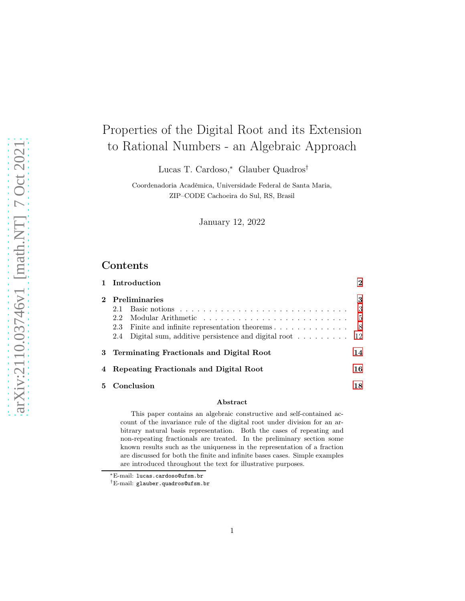# Properties of the Digital Root and its Extension to Rational Numbers - an Algebraic Approach

Lucas T. Cardoso,<sup>∗</sup> Glauber Quadros†

Coordenadoria Acadêmica, Universidade Federal de Santa Maria, ZIP–CODE Cachoeira do Sul, RS, Brasil

January 12, 2022

# Contents

|          | 1 Introduction                                                                               | $\bf{2}$      |
|----------|----------------------------------------------------------------------------------------------|---------------|
|          | <b>Preliminaries</b>                                                                         | 3             |
|          | Basic notions $\ldots \ldots \ldots \ldots \ldots \ldots \ldots \ldots \ldots \ldots$<br>2.1 | 3             |
|          | 2.2                                                                                          | $\frac{5}{2}$ |
|          | Finite and infinite representation theorems<br>2.3                                           | -8            |
|          | Digital sum, additive persistence and digital root $\dots \dots \dots \dots$ 12<br>2.4       |               |
|          | 3 Terminating Fractionals and Digital Root                                                   | 14            |
|          | Repeating Fractionals and Digital Root                                                       | 16            |
| 5.       | Conclusion                                                                                   | 18            |
| $\cdots$ |                                                                                              |               |

#### Abstract

This paper contains an algebraic constructive and self-contained account of the invariance rule of the digital root under division for an arbitrary natural basis representation. Both the cases of repeating and non-repeating fractionals are treated. In the preliminary section some known results such as the uniqueness in the representation of a fraction are discussed for both the finite and infinite bases cases. Simple examples are introduced throughout the text for illustrative purposes.

<sup>∗</sup>E-mail: lucas.cardoso@ufsm.br

<sup>†</sup>E-mail: glauber.quadros@ufsm.br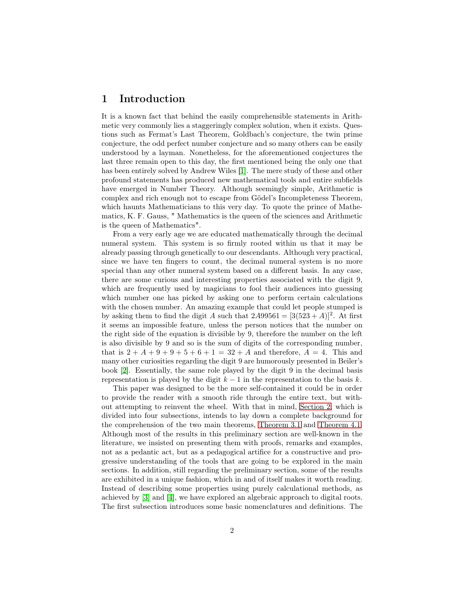# <span id="page-1-0"></span>1 Introduction

It is a known fact that behind the easily comprehensible statements in Arithmetic very commonly lies a staggeringly complex solution, when it exists. Questions such as Fermat's Last Theorem, Goldbach's conjecture, the twin prime conjecture, the odd perfect number conjecture and so many others can be easily understood by a layman. Nonetheless, for the aforementioned conjectures the last three remain open to this day, the first mentioned being the only one that has been entirely solved by Andrew Wiles [\[1\]](#page-18-0). The mere study of these and other profound statements has produced new mathematical tools and entire subfields have emerged in Number Theory. Although seemingly simple, Arithmetic is complex and rich enough not to escape from Gödel's Incompleteness Theorem, which haunts Mathematicians to this very day. To quote the prince of Mathematics, K. F. Gauss, " Mathematics is the queen of the sciences and Arithmetic is the queen of Mathematics".

From a very early age we are educated mathematically through the decimal numeral system. This system is so firmly rooted within us that it may be already passing through genetically to our descendants. Although very practical, since we have ten fingers to count, the decimal numeral system is no more special than any other numeral system based on a different basis. In any case, there are some curious and interesting properties associated with the digit 9, which are frequently used by magicians to fool their audiences into guessing which number one has picked by asking one to perform certain calculations with the chosen number. An amazing example that could let people stumped is by asking them to find the digit A such that  $2A99561 = [3(523 + A)]^2$ . At first it seems an impossible feature, unless the person notices that the number on the right side of the equation is divisible by 9, therefore the number on the left is also divisible by 9 and so is the sum of digits of the corresponding number, that is  $2+A+9+9+5+6+1=32+A$  and therefore,  $A=4$ . This and many other curiosities regarding the digit 9 are humorously presented in Beiler's book [\[2\]](#page-18-1). Essentially, the same role played by the digit 9 in the decimal basis representation is played by the digit  $k - 1$  in the representation to the basis k.

This paper was designed to be the more self-contained it could be in order to provide the reader with a smooth ride through the entire text, but without attempting to reinvent the wheel. With that in mind, [Section 2,](#page-2-0) which is divided into four subsections, intends to lay down a complete background for the comprehension of the two main theorems, [Theorem 3.1](#page-13-1) and [Theorem 4.1.](#page-15-1) Although most of the results in this preliminary section are well-known in the literature, we insisted on presenting them with proofs, remarks and examples, not as a pedantic act, but as a pedagogical artifice for a constructive and progressive understanding of the tools that are going to be explored in the main sections. In addition, still regarding the preliminary section, some of the results are exhibited in a unique fashion, which in and of itself makes it worth reading. Instead of describing some properties using purely calculational methods, as achieved by [\[3\]](#page-18-2) and [\[4\]](#page-18-3), we have explored an algebraic approach to digital roots. The first subsection introduces some basic nomenclatures and definitions. The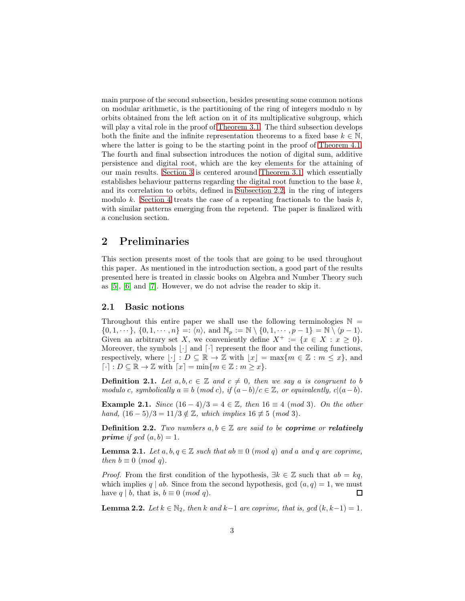main purpose of the second subsection, besides presenting some common notions on modular arithmetic, is the partitioning of the ring of integers modulo  $n$  by orbits obtained from the left action on it of its multiplicative subgroup, which will play a vital role in the proof of [Theorem 3.1.](#page-13-1) The third subsection develops both the finite and the infinite representation theorems to a fixed base  $k \in \mathbb{N}$ , where the latter is going to be the starting point in the proof of [Theorem 4.1.](#page-15-1) The fourth and final subsection introduces the notion of digital sum, additive persistence and digital root, which are the key elements for the attaining of our main results. [Section 3](#page-13-0) is centered around [Theorem 3.1,](#page-13-1) which essentially establishes behaviour patterns regarding the digital root function to the base  $k$ , and its correlation to orbits, defined in [Subsection 2.2,](#page-4-0) in the ring of integers modulo k. [Section 4](#page-15-0) treats the case of a repeating fractionals to the basis  $k$ , with similar patterns emerging from the repetend. The paper is finalized with a conclusion section.

# <span id="page-2-0"></span>2 Preliminaries

This section presents most of the tools that are going to be used throughout this paper. As mentioned in the introduction section, a good part of the results presented here is treated in classic books on Algebra and Number Theory such as [\[5\]](#page-18-4), [\[6\]](#page-18-5) and [\[7\]](#page-18-6). However, we do not advise the reader to skip it.

#### <span id="page-2-1"></span>2.1 Basic notions

Throughout this entire paper we shall use the following terminologies  $\mathbb{N} =$  $\{0, 1, \dots\}, \{0, 1, \dots, n\} =: \langle n \rangle, \text{ and } \mathbb{N}_p := \mathbb{N} \setminus \{0, 1, \dots, p - 1\} = \mathbb{N} \setminus \langle p - 1 \rangle.$ Given an arbitrary set X, we conveniently define  $X^+ := \{x \in X : x \geq 0\}.$ Moreover, the symbols  $\lfloor \cdot \rfloor$  and  $\lceil \cdot \rceil$  represent the floor and the ceiling functions, respectively, where  $|\cdot| : D \subseteq \mathbb{R} \to \mathbb{Z}$  with  $|x| = \max\{m \in \mathbb{Z} : m \leq x\}$ , and  $\lceil \cdot \rceil : D \subseteq \mathbb{R} \to \mathbb{Z}$  with  $\lceil x \rceil = \min\{m \in \mathbb{Z} : m \geq x\}.$ 

**Definition 2.1.** Let  $a, b, c \in \mathbb{Z}$  and  $c \neq 0$ , then we say a is congruent to b modulo c, symbolically  $a \equiv b \pmod{c}$ , if  $(a - b)/c \in \mathbb{Z}$ , or equivalently,  $c|(a - b)$ .

Example 2.1. Since  $(16 - 4)/3 = 4 \in \mathbb{Z}$ , then  $16 \equiv 4 \pmod{3}$ . On the other hand,  $(16-5)/3 = 11/3 \notin \mathbb{Z}$ , which implies  $16 \not\equiv 5 \pmod{3}$ .

**Definition 2.2.** Two numbers  $a, b \in \mathbb{Z}$  are said to be **coprime** or **relatively** prime if  $gcd(a, b) = 1$ .

**Lemma 2.1.** Let  $a, b, q \in \mathbb{Z}$  such that  $ab \equiv 0 \pmod{q}$  and a and q are coprime, then  $b \equiv 0 \pmod{q}$ .

*Proof.* From the first condition of the hypothesis,  $\exists k \in \mathbb{Z}$  such that  $ab = kq$ , which implies q | ab. Since from the second hypothesis, gcd  $(a, q) = 1$ , we must have  $q \mid b$ , that is,  $b \equiv 0 \pmod{q}$ .  $\Box$ 

**Lemma 2.2.** Let  $k \in \mathbb{N}_2$ , then k and k−1 are coprime, that is, gcd  $(k, k-1) = 1$ .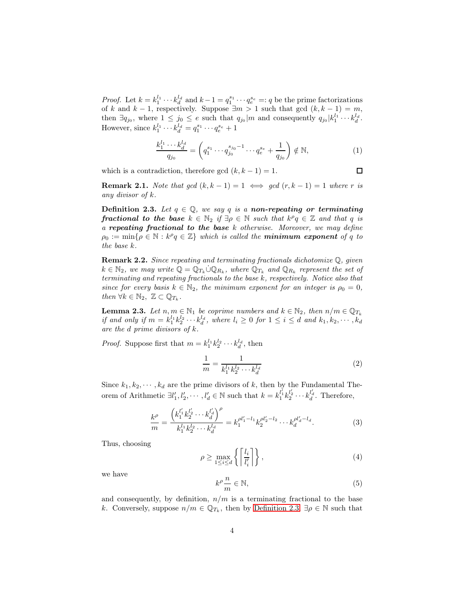*Proof.* Let  $k = k_1^{l_1} \cdots k_d^{l_d}$  and  $k-1 = q_1^{s_1} \cdots q_e^{s_e} =: q$  be the prime factorizations of k and  $k - 1$ , respectively. Suppose  $\exists m > 1$  such that gcd  $(k, k - 1) = m$ , then  $\exists q_{j_0}$ , where  $1 \leq j_0 \leq e$  such that  $q_{j_0}|m$  and consequently  $q_{j_0}|k_1^{l_1} \cdots k_d^{l_d}$ . However, since  $k_1^{l_1} \cdots k_d^{l_d} = q_1^{s_1} \cdots q_e^{s_e} + 1$ 

$$
\frac{k_1^{l_1} \cdots k_d^{l_d}}{q_{j_0}} = \left( q_1^{s_1} \cdots q_{j_0}^{s_{j_0}-1} \cdots q_e^{s_e} + \frac{1}{q_{j_0}} \right) \notin \mathbb{N},\tag{1}
$$

which is a contradiction, therefore gcd  $(k, k - 1) = 1$ .

 $\Box$ 

<span id="page-3-1"></span>**Remark 2.1.** Note that gcd  $(k, k - 1) = 1 \iff \text{gcd}(r, k - 1) = 1$  where r is any divisor of k.

<span id="page-3-0"></span>**Definition 2.3.** Let  $q \in \mathbb{Q}$ , we say q is a non-repeating or terminating **fractional to the base**  $k \in \mathbb{N}_2$  if  $\exists \rho \in \mathbb{N}$  such that  $k^{\rho}q \in \mathbb{Z}$  and that q is a repeating fractional to the base  $k$  otherwise. Moreover, we may define  $\rho_0 := \min\{\rho \in \mathbb{N} : k^{\rho}q \in \mathbb{Z}\}\$  which is called the **minimum exponent** of q to the base k.

Remark 2.2. Since repeating and terminating fractionals dichotomize Q, given  $k \in \mathbb{N}_2$ , we may write  $\mathbb{Q} = \mathbb{Q}_{T_k} \cup \mathbb{Q}_{R_k}$ , where  $\mathbb{Q}_{T_k}$  and  $\mathbb{Q}_{R_k}$  represent the set of terminating and repeating fractionals to the base k, respectively. Notice also that since for every basis  $k \in \mathbb{N}_2$ , the minimum exponent for an integer is  $\rho_0 = 0$ , then  $\forall k \in \mathbb{N}_2$ ,  $\mathbb{Z} \subset \mathbb{Q}_{T_k}$ .

<span id="page-3-2"></span>**Lemma 2.3.** Let  $n, m \in \mathbb{N}_1$  be coprime numbers and  $k \in \mathbb{N}_2$ , then  $n/m \in \mathbb{Q}_{T_k}$ if and only if  $m = k_1^{l_1} k_2^{l_2} \cdots k_d^{l_d}$ , where  $l_i \geq 0$  for  $1 \leq i \leq d$  and  $k_1, k_2, \cdots, k_d$ are the d prime divisors of k.

*Proof.* Suppose first that  $m = k_1^{l_1} k_2^{l_2} \cdots k_d^{l_d}$ , then

$$
\frac{1}{m} = \frac{1}{k_1^{l_1} k_2^{l_2} \cdots k_d^{l_d}}\tag{2}
$$

Since  $k_1, k_2, \dots, k_d$  are the prime divisors of k, then by the Fundamental Theorem of Arithmetic  $\exists l'_1, l'_2, \cdots, l'_d \in \mathbb{N}$  such that  $k = k_1^{l'_1} k_2^{l'_2} \cdots k_d^{l'_d}$ . Therefore,

$$
\frac{k^{\rho}}{m} = \frac{\left(k_1^{l'_1} k_2^{l'_2} \cdots k_d^{l'_d}\right)^{\rho}}{k_1^{l_1} k_2^{l_2} \cdots k_d^{l_d}} = k_1^{\rho l'_1 - l_1} k_2^{\rho l'_2 - l_2} \cdots k_d^{\rho l'_d - l_d}.
$$
\n(3)

Thus, choosing

$$
\rho \ge \max_{1 \le i \le d} \left\{ \left[ \frac{l_i}{l'_i} \right] \right\},\tag{4}
$$

we have

$$
k^{\rho} \frac{n}{m} \in \mathbb{N},\tag{5}
$$

and consequently, by definition,  $n/m$  is a terminating fractional to the base k. Conversely, suppose  $n/m \in \mathbb{Q}_{T_k}$ , then by [Definition 2.3,](#page-3-0)  $\exists \rho \in \mathbb{N}$  such that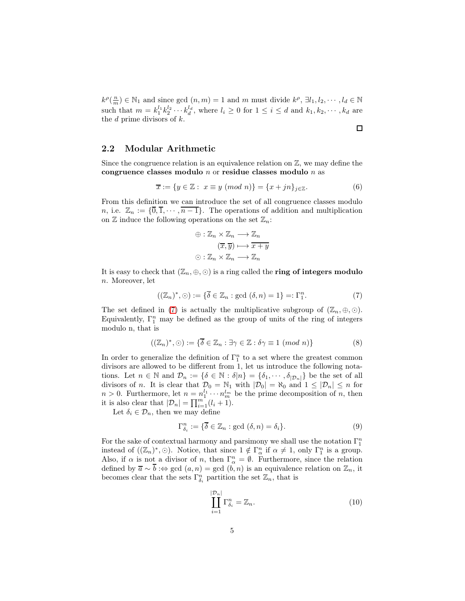$k^{\rho}(\frac{n}{m}) \in \mathbb{N}_1$  and since gcd  $(n,m) = 1$  and m must divide  $k^{\rho}, \exists l_1, l_2, \cdots, l_d \in \mathbb{N}$ such that  $m = k_1^{l_1} k_2^{l_2} \cdots k_d^{l_d}$ , where  $l_i \geq 0$  for  $1 \leq i \leq d$  and  $k_1, k_2, \cdots, k_d$  are the  $d$  prime divisors of  $k$ .

#### <span id="page-4-0"></span>2.2 Modular Arithmetic

Since the congruence relation is an equivalence relation on  $\mathbb{Z}$ , we may define the congruence classes modulo n or residue classes modulo n as

$$
\overline{x} := \{ y \in \mathbb{Z} : x \equiv y \pmod{n} \} = \{ x + jn \}_{j \in \mathbb{Z}}.
$$
 (6)

 $\Box$ 

From this definition we can introduce the set of all congruence classes modulo n, i.e.  $\mathbb{Z}_n := \{\overline{0}, \overline{1}, \cdots, \overline{n-1}\}.$  The operations of addition and multiplication on  $\mathbb Z$  induce the following operations on the set  $\mathbb Z_n$ :

$$
\oplus: \mathbb{Z}_n \times \mathbb{Z}_n \longrightarrow \mathbb{Z}_n
$$

$$
(\overline{x}, \overline{y}) \longmapsto \overline{x+y}
$$

$$
\odot: \mathbb{Z}_n \times \mathbb{Z}_n \longrightarrow \mathbb{Z}_n
$$

It is easy to check that  $(\mathbb{Z}_n, \oplus, \odot)$  is a ring called the **ring of integers modulo** n. Moreover, let

<span id="page-4-1"></span>
$$
((\mathbb{Z}_n)^*, \odot) := \{ \overline{\delta} \in \mathbb{Z}_n : \text{gcd } (\delta, n) = 1 \} =: \Gamma_1^n. \tag{7}
$$

The set defined in [\(7\)](#page-4-1) is actually the multiplicative subgroup of  $(\mathbb{Z}_n, \oplus, \odot)$ . Equivalently,  $\Gamma_1^n$  may be defined as the group of units of the ring of integers modulo n, that is

$$
((\mathbb{Z}_n)^*, \odot) := \{ \overline{\delta} \in \mathbb{Z}_n : \exists \gamma \in \mathbb{Z} : \delta \gamma \equiv 1 \ (mod \ n) \}
$$
 (8)

In order to generalize the definition of  $\Gamma_1^n$  to a set where the greatest common divisors are allowed to be different from 1, let us introduce the following notations. Let  $n \in \mathbb{N}$  and  $\mathcal{D}_n := \{\delta \in \mathbb{N} : \delta | n\} = \{\delta_1, \cdots, \delta_{|\mathcal{D}_n|}\}\$  be the set of all divisors of n. It is clear that  $\mathcal{D}_0 = \mathbb{N}_1$  with  $|\mathcal{D}_0| = \mathbb{N}_0$  and  $1 \leq |\mathcal{D}_n| \leq n$  for  $n > 0$ . Furthermore, let  $n = n_1^{l_1} \cdots n_m^{l_m}$  be the prime decomposition of n, then it is also clear that  $|\mathcal{D}_n| = \prod_{i=1}^m (l_i + 1)$ .

Let  $\delta_i \in \mathcal{D}_n$ , then we may define

$$
\Gamma_{\delta_i}^n := \{ \overline{\delta} \in \mathbb{Z}_n : \text{gcd } (\delta, n) = \delta_i \}. \tag{9}
$$

For the sake of contextual harmony and parsimony we shall use the notation  $\Gamma_1^n$ instead of  $((\mathbb{Z}_n)^*, \odot)$ . Notice, that since  $1 \notin \Gamma^n_\alpha$  if  $\alpha \neq 1$ , only  $\Gamma^n_1$  is a group. Also, if  $\alpha$  is not a divisor of n, then  $\Gamma^n_{\alpha} = \emptyset$ . Furthermore, since the relation defined by  $\overline{a} \sim \overline{b}$  :⇔ gcd  $(a, n) =$  gcd  $(b, n)$  is an equivalence relation on  $\mathbb{Z}_n$ , it becomes clear that the sets  $\Gamma_{\delta_i}^n$  partition the set  $\mathbb{Z}_n$ , that is

<span id="page-4-2"></span>
$$
\prod_{i=1}^{|\mathcal{D}_n|} \Gamma_{\delta_i}^n = \mathbb{Z}_n.
$$
\n(10)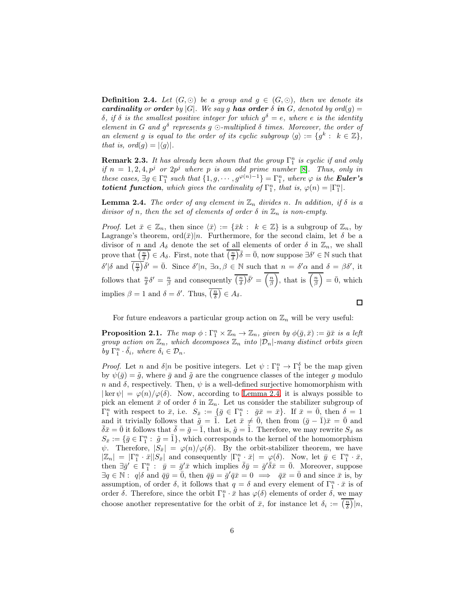**Definition 2.4.** Let  $(G, \odot)$  be a group and  $g \in (G, \odot)$ , then we denote its cardinality or order by  $|G|$ . We say g has order  $\delta$  in  $G$ , denoted by ord $(g)$  = δ, if δ is the smallest positive integer for which  $g^δ = e$ , where e is the identity element in G and  $g^{\delta}$  represents g  $\odot$ -multiplied  $\delta$  times. Moreover, the order of an element g is equal to the order of its cyclic subgroup  $\langle g \rangle := \{ g^k : k \in \mathbb{Z} \},\$ that is,  $ord(g) = |\langle g \rangle|.$ 

**Remark 2.3.** It has already been shown that the group  $\Gamma_1^n$  is cyclic if and only if  $n = 1, 2, 4, p^j$  or  $2p^j$  where p is an odd prime number [\[8\]](#page-18-7). Thus, only in these cases,  $\exists g \in \Gamma_1^n$  such that  $\{1, g, \dots, g^{\varphi(n)-1}\} = \Gamma_1^n$ , where  $\varphi$  is the **Euler's** totient function, which gives the cardinality of  $\Gamma_1^n$ , that is,  $\varphi(n) = |\Gamma_1^n|$ .

<span id="page-5-0"></span>**Lemma 2.4.** The order of any element in  $\mathbb{Z}_n$  divides n. In addition, if  $\delta$  is a divisor of n, then the set of elements of order  $\delta$  in  $\mathbb{Z}_n$  is non-empty.

*Proof.* Let  $\bar{x} \in \mathbb{Z}_n$ , then since  $\langle \bar{x} \rangle := \{ \bar{x}k : k \in \mathbb{Z} \}$  is a subgroup of  $\mathbb{Z}_n$ , by Lagrange's theorem,  $\text{ord}(\bar{x})|n$ . Furthermore, for the second claim, let  $\delta$  be a divisor of n and  $A_{\delta}$  denote the set of all elements of order  $\delta$  in  $\mathbb{Z}_n$ , we shall prove that  $\overline{\left(\frac{n}{\delta}\right)} \in A_{\delta}$ . First, note that  $\overline{\left(\frac{n}{\delta}\right)} \overline{\delta} = \overline{0}$ , now suppose  $\exists \delta' \in \mathbb{N}$  such that  $\delta'|\delta$  and  $\overline{\left(\frac{n}{\delta}\right)}\overline{\delta'} = \overline{0}$ . Since  $\delta'|n, \exists \alpha, \beta \in \mathbb{N}$  such that  $n = \delta' \alpha$  and  $\delta = \beta \delta'$ , it follows that  $\frac{n}{\delta} \delta' = \frac{n}{\beta}$  and consequently  $\overline{\left(\frac{n}{\delta}\right)} \overline{\delta'} = \left(\frac{n}{\beta}\right)$ , that is  $\left(\frac{n}{\beta}\right) = \overline{0}$ , which implies  $\beta = 1$  and  $\delta = \delta'$ . Thus,  $\overline{\left(\frac{n}{\delta}\right)} \in A_{\delta}$ .  $\Box$ 

For future endeavors a particular group action on  $\mathbb{Z}_n$  will be very useful:

<span id="page-5-1"></span>**Proposition 2.1.** The map  $\phi : \Gamma_1^n \times \mathbb{Z}_n \to \mathbb{Z}_n$ , given by  $\phi(\bar{g}, \bar{x}) := \bar{g}\bar{x}$  is a left group action on  $\mathbb{Z}_n$ , which decomposes  $\mathbb{Z}_n$  into  $|\mathcal{D}_n|$ -many distinct orbits given by  $\Gamma_1^n \cdot \bar{\delta}_i$ , where  $\delta_i \in \mathcal{D}_n$ .

*Proof.* Let n and  $\delta | n$  be positive integers. Let  $\psi : \Gamma_1^n \to \Gamma_1^{\delta}$  be the map given by  $\psi(\bar{g}) = \tilde{g}$ , where  $\bar{g}$  and  $\tilde{g}$  are the congruence classes of the integer g modulo n and  $\delta$ , respectively. Then,  $\psi$  is a well-defined surjective homomorphism with  $|\ker \psi| = \varphi(n)/\varphi(\delta)$ . Now, according to [Lemma 2.4,](#page-5-0) it is always possible to pick an element  $\bar{x}$  of order  $\delta$  in  $\mathbb{Z}_n$ . Let us consider the stabilizer subgroup of  $\Gamma_1^n$  with respect to  $\bar{x}$ , i.e.  $S_{\bar{x}} := \{\bar{g} \in \Gamma_1^n : \bar{g}\bar{x} = \bar{x}\}\$ . If  $\bar{x} = \bar{0}$ , then  $\delta = 1$ and it trivially follows that  $\tilde{g} = \tilde{1}$ . Let  $\bar{x} \neq \bar{0}$ , then from  $(\bar{g} - \bar{1})\bar{x} = \bar{0}$  and  $\bar{\delta}\bar{x}=\bar{0}$  it follows that  $\bar{\delta}=\bar{g}-\bar{1}$ , that is,  $\tilde{g}=\tilde{1}$ . Therefore, we may rewrite  $S_{\bar{x}}$  as  $S_{\bar{x}} := \{\bar{g} \in \Gamma_1^n : \ \tilde{g} = \tilde{1}\},\$  which corresponds to the kernel of the homomorphism  $\psi$ . Therefore,  $|S_{\bar{x}}| = \varphi(n)/\varphi(\delta)$ . By the orbit-stabilizer theorem, we have  $|\mathbb{Z}_n| = |\Gamma_1^n \cdot \bar{x}| |S_{\bar{x}}|$  and consequently  $|\Gamma_1^n \cdot \bar{x}| = \varphi(\delta)$ . Now, let  $\bar{y} \in \Gamma_1^n \cdot \bar{x}$ , then  $\exists \bar{g}' \in \Gamma_1^n : \bar{y} = \bar{g}'\bar{x}$  which implies  $\bar{\delta}\bar{y} = \bar{g}'\bar{\delta}\bar{x} = \bar{0}$ . Moreover, suppose  $\exists q \in \mathbb{N}: q | \delta \text{ and } \bar{q}\bar{y} = \bar{0}, \text{ then } \bar{q}\bar{y} = \bar{g}'\bar{q}\bar{x} = 0 \implies \bar{q}\bar{x} = \bar{0} \text{ and since } \bar{x} \text{ is, by }$ assumption, of order  $\delta$ , it follows that  $q = \delta$  and every element of  $\Gamma_1^n \cdot \bar{x}$  is of order  $\delta$ . Therefore, since the orbit  $\Gamma_1^n \cdot \bar{x}$  has  $\varphi(\delta)$  elements of order  $\delta$ , we may choose another representative for the orbit of  $\bar{x}$ , for instance let  $\delta_i := \left(\frac{n}{\delta}\right) | n$ ,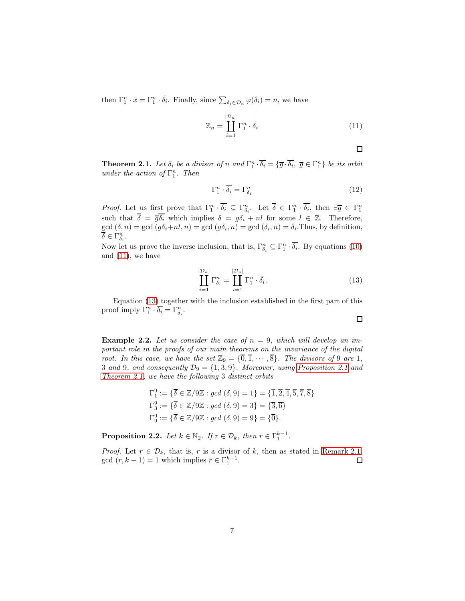then  $\Gamma_1^n \cdot \bar{x} = \Gamma_1^n \cdot \bar{\delta}_i$ . Finally, since  $\sum_{\delta_i \in \mathcal{D}_n} \varphi(\delta_i) = n$ , we have

<span id="page-6-0"></span>
$$
\mathbb{Z}_n = \coprod_{i=1}^{|\mathcal{D}_n|} \Gamma_1^n \cdot \bar{\delta}_i \tag{11}
$$

 $\Box$ 

<span id="page-6-2"></span>**Theorem 2.1.** Let  $\delta_i$  be a divisor of n and  $\Gamma_1^n \cdot \overline{\delta_i} = {\overline{g} \cdot \overline{\delta_i}}, \overline{g} \in \Gamma_1^n$  be its orbit under the action of  $\Gamma_1^n$ . Then

$$
\Gamma_1^n \cdot \overline{\delta_i} = \Gamma_{\delta_i}^n \tag{12}
$$

*Proof.* Let us first prove that  $\Gamma_1^n \cdot \overline{\delta_i} \subseteq \Gamma_{\delta_i}^n$ . Let  $\overline{\delta} \in \Gamma_1^n \cdot \overline{\delta_i}$ , then  $\exists \overline{g} \in \Gamma_1^n$ such that  $\overline{\delta} = \overline{g} \overline{\delta_i}$  which implies  $\delta = g \delta_i + n l$  for some  $l \in \mathbb{Z}$ . Therefore,  $gcd(\delta, n) = gcd(g\delta_i+nl, n) = gcd(g\delta_i, n) = gcd(\delta_i, n) = \delta_i$ . Thus, by definition,  $\overline{\delta} \in \Gamma^n_{\delta_i}.$ 

Now let us prove the inverse inclusion, that is,  $\Gamma_{\delta_i}^n \subseteq \Gamma_1^n \cdot \overline{\delta_i}$ . By equations [\(10\)](#page-4-2) and  $(11)$ , we have

<span id="page-6-1"></span>
$$
\prod_{i=1}^{|\mathcal{D}_n|} \Gamma_{\delta_i}^n = \prod_{i=1}^{|\mathcal{D}_n|} \Gamma_1^n \cdot \bar{\delta}_i.
$$
\n(13)

Equation [\(13\)](#page-6-1) together with the inclusion established in the first part of this proof imply  $\Gamma_1^n \cdot \overline{\delta_i} = \Gamma_{\delta_i}^n$ .

<span id="page-6-3"></span>**Example 2.2.** Let us consider the case of  $n = 9$ , which will develop an important role in the proofs of our main theorems on the invariance of the digital root. In this case, we have the set  $\mathbb{Z}_9 = {\{\overline{0}, \overline{1}, \cdots, \overline{8}\}}$ . The divisors of 9 are 1, 3 and 9, and consequently  $\mathcal{D}_9 = \{1, 3, 9\}$ . Moreover, using [Proposition 2.1](#page-5-1) and [Theorem 2.1,](#page-6-2) we have the following 3 distinct orbits

$$
\Gamma_1^9 := \{ \overline{\delta} \in \mathbb{Z}/9\mathbb{Z} : \gcd(\delta, 9) = 1 \} = \{ \overline{1}, \overline{2}, \overline{4}, \overline{5}, \overline{7}, \overline{8} \}
$$
  
\n
$$
\Gamma_3^9 := \{ \overline{\delta} \in \mathbb{Z}/9\mathbb{Z} : \gcd(\delta, 9) = 3 \} = \{ \overline{3}, \overline{6} \}
$$
  
\n
$$
\Gamma_9^9 := \{ \overline{\delta} \in \mathbb{Z}/9\mathbb{Z} : \gcd(\delta, 9) = 9 \} = \{ \overline{0} \}.
$$

**Proposition 2.2.** Let  $k \in \mathbb{N}_2$ . If  $r \in \mathcal{D}_k$ , then  $\bar{r} \in \Gamma_1^{k-1}$ .

*Proof.* Let  $r \in \mathcal{D}_k$ , that is, r is a divisor of k, then as stated in [Remark 2.1,](#page-3-1) gcd  $(r, k - 1) = 1$  which implies  $\bar{r} \in \Gamma_1^{k-1}$ . 口

 $\Box$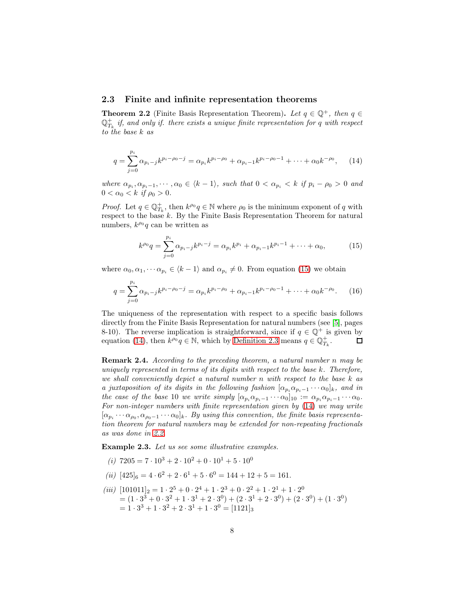#### <span id="page-7-0"></span>2.3 Finite and infinite representation theorems

<span id="page-7-3"></span>**Theorem 2.2** (Finite Basis Representation Theorem). Let  $q \in \mathbb{Q}^+$ , then  $q \in$  $\mathbb{Q}_{T_k}^+$  if, and only if. there exists a unique finite representation for q with respect to the base k as

<span id="page-7-2"></span>
$$
q = \sum_{j=0}^{p_i} \alpha_{p_i-j} k^{p_i - \rho_0 - j} = \alpha_{p_i} k^{p_i - \rho_0} + \alpha_{p_i-1} k^{p_i - \rho_0 - 1} + \dots + \alpha_0 k^{-\rho_0}, \qquad (14)
$$

where  $\alpha_{p_i}, \alpha_{p_i-1}, \cdots, \alpha_0 \in \langle k-1 \rangle$ , such that  $0 < \alpha_{p_i} < k$  if  $p_i - \rho_0 > 0$  and  $0 < \alpha_0 < k$  if  $\rho_0 > 0$ .

*Proof.* Let  $q \in \mathbb{Q}_{T_k}^+$ , then  $k^{\rho_0}q \in \mathbb{N}$  where  $\rho_0$  is the minimum exponent of q with respect to the base k. By the Finite Basis Representation Theorem for natural numbers,  $k^{\rho_0}q$  can be written as

<span id="page-7-1"></span>
$$
k^{\rho_0}q = \sum_{j=0}^{p_i} \alpha_{p_i-j} k^{p_i-j} = \alpha_{p_i} k^{p_i} + \alpha_{p_i-1} k^{p_i-1} + \dots + \alpha_0, \qquad (15)
$$

where  $\alpha_0, \alpha_1, \cdots, \alpha_{p_i} \in \langle k-1 \rangle$  and  $\alpha_{p_i} \neq 0$ . From equation [\(15\)](#page-7-1) we obtain

$$
q = \sum_{j=0}^{p_i} \alpha_{p_i-j} k^{p_i - \rho_0 - j} = \alpha_{p_i} k^{p_i - \rho_0} + \alpha_{p_i-1} k^{p_i - \rho_0 - 1} + \dots + \alpha_0 k^{-\rho_0}.
$$
 (16)

The uniqueness of the representation with respect to a specific basis follows directly from the Finite Basis Representation for natural numbers (see [\[5\]](#page-18-4), pages 8-10). The reverse implication is straightforward, since if  $q \in \mathbb{Q}^+$  is given by equation [\(14\)](#page-7-2), then  $k^{\rho_0}q \in \mathbb{N}$ , which by [Definition 2.3](#page-3-0) means  $q \in \mathbb{Q}_{T_k}^+$ .  $\Box$ 

Remark 2.4. According to the preceding theorem, a natural number n may be uniquely represented in terms of its digits with respect to the base k. Therefore, we shall conveniently depict a natural number n with respect to the base k as a juxtaposition of its digits in the following fashion  $[\alpha_{p_i}\alpha_{p_i-1}\cdots\alpha_0]_k$ , and in the case of the base 10 we write simply  $[\alpha_{p_i}\alpha_{p_i-1}\cdots\alpha_0]_{10} := \alpha_{p_i}\alpha_{p_i-1}\cdots\alpha_0$ . For non-integer numbers with finite representation given by [\(14\)](#page-7-2) we may write  $[\alpha_{p_i} \cdots \alpha_{p_0}, \alpha_{p_0-1} \cdots \alpha_0]_k$ . By using this convention, the finite basis representation theorem for natural numbers may be extended for non-repeating fractionals as was done in [2.2.](#page-7-3)

Example 2.3. Let us see some illustrative examples.

- (i)  $7205 = 7 \cdot 10^3 + 2 \cdot 10^2 + 0 \cdot 10^1 + 5 \cdot 10^0$
- (*ii*)  $[425]_6 = 4 \cdot 6^2 + 2 \cdot 6^1 + 5 \cdot 6^0 = 144 + 12 + 5 = 161.$
- (iii)  $[101011]_2 = 1 \cdot 2^5 + 0 \cdot 2^4 + 1 \cdot 2^3 + 0 \cdot 2^2 + 1 \cdot 2^1 + 1 \cdot 2^0$  $= (1 \cdot 3^3 + 0 \cdot 3^2 + 1 \cdot 3^1 + 2 \cdot 3^0) + (2 \cdot 3^1 + 2 \cdot 3^0) + (2 \cdot 3^0) + (1 \cdot 3^0)$  $= 1 \cdot 3^3 + 1 \cdot 3^2 + 2 \cdot 3^1 + 1 \cdot 3^0 = [1121]_3$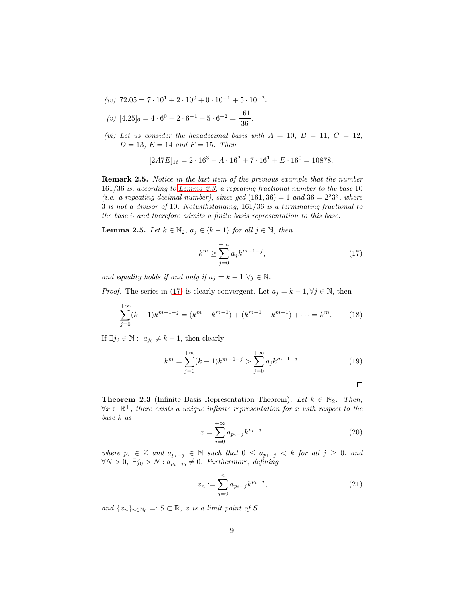- (iv)  $72.05 = 7 \cdot 10^1 + 2 \cdot 10^0 + 0 \cdot 10^{-1} + 5 \cdot 10^{-2}$ .
- (v)  $[4.25]_6 = 4 \cdot 6^0 + 2 \cdot 6^{-1} + 5 \cdot 6^{-2} = \frac{161}{36}$  $\frac{1}{36}$
- (vi) Let us consider the hexadecimal basis with  $A = 10, B = 11, C = 12,$  $D = 13, E = 14, and F = 15.$  Then

$$
[2A7E]_{16} = 2 \cdot 16^3 + A \cdot 16^2 + 7 \cdot 16^1 + E \cdot 16^0 = 10878.
$$

Remark 2.5. Notice in the last item of the previous example that the number 161/36 is, according to [Lemma 2.3,](#page-3-2) a repeating fractional number to the base 10 (i.e. a repeating decimal number), since gcd  $(161, 36) = 1$  and  $36 = 2^23^3$ , where 3 is not a divisor of 10. Notwithstanding, 161/36 is a terminating fractional to the base 6 and therefore admits a finite basis representation to this base.

<span id="page-8-2"></span>**Lemma 2.5.** Let  $k \in \mathbb{N}_2$ ,  $a_j \in \langle k-1 \rangle$  for all  $j \in \mathbb{N}$ , then

<span id="page-8-0"></span>
$$
k^{m} \ge \sum_{j=0}^{+\infty} a_{j} k^{m-1-j},
$$
\n(17)

and equality holds if and only if  $a_j = k - 1 \ \forall j \in \mathbb{N}$ .

*Proof.* The series in [\(17\)](#page-8-0) is clearly convergent. Let  $a_j = k - 1, \forall j \in \mathbb{N}$ , then

$$
\sum_{j=0}^{+\infty} (k-1)k^{m-1-j} = (k^m - k^{m-1}) + (k^{m-1} - k^{m-1}) + \dots = k^m.
$$
 (18)

If  $\exists j_0 \in \mathbb{N}: a_{j_0} \neq k-1$ , then clearly

$$
k^{m} = \sum_{j=0}^{+\infty} (k-1)k^{m-1-j} > \sum_{j=0}^{+\infty} a_{j}k^{m-1-j}.
$$
 (19)

$$
\square
$$

<span id="page-8-3"></span>**Theorem 2.3** (Infinite Basis Representation Theorem). Let  $k \in \mathbb{N}_2$ . Then,  $\forall x \in \mathbb{R}^+$ , there exists a unique infinite representation for x with respect to the base k as

<span id="page-8-1"></span>
$$
x = \sum_{j=0}^{+\infty} a_{p_i-j} k^{p_i-j},
$$
\n(20)

where  $p_i \in \mathbb{Z}$  and  $a_{p_i-j} \in \mathbb{N}$  such that  $0 \le a_{p_i-j} < k$  for all  $j \ge 0$ , and  $\forall N > 0, \exists j_0 > N : a_{p_i - j_0} \neq 0.$  Furthermore, defining

$$
x_n := \sum_{j=0}^n a_{p_i-j} k^{p_i-j},\tag{21}
$$

and  $\{x_n\}_{n\in\mathbb{N}_0}$  =:  $S \subset \mathbb{R}$ , x is a limit point of S.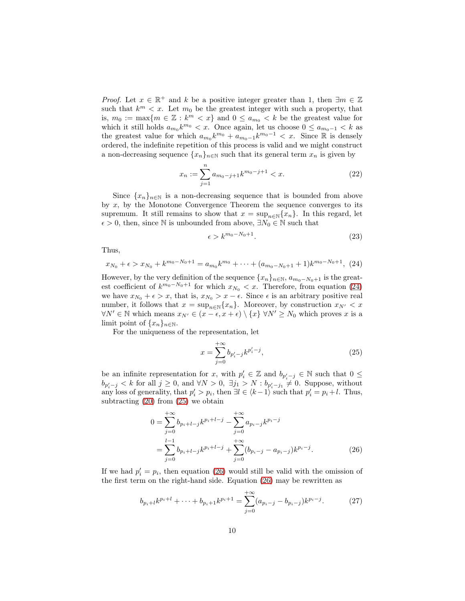*Proof.* Let  $x \in \mathbb{R}^+$  and k be a positive integer greater than 1, then  $\exists m \in \mathbb{Z}$ such that  $k^m < x$ . Let  $m_0$  be the greatest integer with such a property, that is,  $m_0 := \max\{m \in \mathbb{Z} : k^m < x\}$  and  $0 \le a_{m_0} < k$  be the greatest value for which it still holds  $a_{m_0}k^{m_0} < x$ . Once again, let us choose  $0 \le a_{m_0-1} < k$  as the greatest value for which  $a_{m_0}k^{m_0} + a_{m_0-1}k^{m_0-1} < x$ . Since R is densely ordered, the indefinite repetition of this process is valid and we might construct a non-decreasing sequence  $\{x_n\}_{n\in\mathbb{N}}$  such that its general term  $x_n$  is given by

$$
x_n := \sum_{j=1}^n a_{m_0-j+1} k^{m_0-j+1} < x. \tag{22}
$$

Since  $\{x_n\}_{n\in\mathbb{N}}$  is a non-decreasing sequence that is bounded from above by  $x$ , by the Monotone Convergence Theorem the sequence converges to its supremum. It still remains to show that  $x = \sup_{n \in \mathbb{N}} \{x_n\}$ . In this regard, let  $\epsilon > 0$ , then, since N is unbounded from above,  $\exists N_0 \in \mathbb{N}$  such that

$$
\epsilon > k^{m_0 - N_0 + 1}.\tag{23}
$$

Thus,

<span id="page-9-0"></span>
$$
x_{N_0} + \epsilon > x_{N_0} + k^{m_0 - N_0 + 1} = a_{m_0} k^{m_0} + \cdots + (a_{m_0 - N_0 + 1} + 1) k^{m_0 - N_0 + 1}, \tag{24}
$$

However, by the very definition of the sequence  $\{x_n\}_{n\in\mathbb{N}}$ ,  $a_{m_0-N_0+1}$  is the greatest coefficient of  $k^{m_0-N_0+1}$  for which  $x_{N_0} < x$ . Therefore, from equation [\(24\)](#page-9-0) we have  $x_{N_0} + \epsilon > x$ , that is,  $x_{N_0} > x - \epsilon$ . Since  $\epsilon$  is an arbitrary positive real number, it follows that  $x = \sup_{n \in \mathbb{N}} \{x_n\}$ . Moreover, by construction  $x_{N'} < x$  $\forall N' \in \mathbb{N}$  which means  $x_{N'} \in (x - \epsilon, x + \epsilon) \setminus \{x\} \ \forall N' \geq N_0$  which proves x is a limit point of  $\{x_n\}_{n\in\mathbb{N}}$ .

For the uniqueness of the representation, let

<span id="page-9-2"></span><span id="page-9-1"></span>
$$
x = \sum_{j=0}^{+\infty} b_{p'_i - j} k^{p'_i - j},\tag{25}
$$

be an infinite representation for x, with  $p'_i \in \mathbb{Z}$  and  $b_{p'_i-j} \in \mathbb{N}$  such that  $0 \leq$  $b_{p'_i-j} < k$  for all  $j \ge 0$ , and  $\forall N > 0$ ,  $\exists j_1 > N : b_{p'_i-j_1} \ne 0$ . Suppose, without any loss of generality, that  $p'_i > p_i$ , then  $\exists l \in \langle k-1 \rangle$  such that  $p'_i = p_i + l$ . Thus, subtracting  $(20)$  from  $(25)$  we obtain

$$
0 = \sum_{j=0}^{+\infty} b_{p_i+l-j} k^{p_i+l-j} - \sum_{j=0}^{+\infty} a_{p_i-j} k^{p_i-j}
$$
  
= 
$$
\sum_{j=0}^{l-1} b_{p_i+l-j} k^{p_i+l-j} + \sum_{j=0}^{+\infty} (b_{p_i-j} - a_{p_i-j}) k^{p_i-j}.
$$
 (26)

If we had  $p'_i = p_i$ , then equation [\(26\)](#page-9-2) would still be valid with the omission of the first term on the right-hand side. Equation [\(26\)](#page-9-2) may be rewritten as

$$
b_{p_i+l}k^{p_i+l} + \dots + b_{p_i+1}k^{p_i+1} = \sum_{j=0}^{+\infty} (a_{p_i-j} - b_{p_i-j})k^{p_i-j}.
$$
 (27)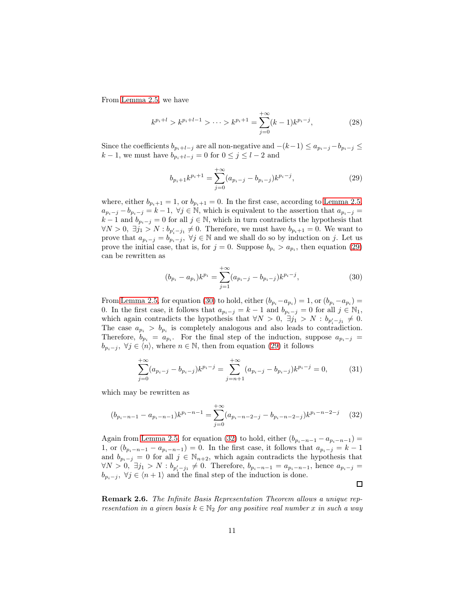From [Lemma 2.5,](#page-8-2) we have

$$
k^{p_i+l} > k^{p_i+l-1} > \dots > k^{p_i+1} = \sum_{j=0}^{+\infty} (k-1)k^{p_i-j},\tag{28}
$$

Since the coefficients  $b_{p_i+l-j}$  are all non-negative and  $-(k-1) \le a_{p_i-j}-b_{p_i-j} \le$  $k-1$ , we must have  $b_{p_i+l-j} = 0$  for  $0 \le j \le l-2$  and

<span id="page-10-0"></span>
$$
b_{p_i+1}k^{p_i+1} = \sum_{j=0}^{+\infty} (a_{p_i-j} - b_{p_i-j})k^{p_i-j},
$$
\n(29)

where, either  $b_{p_i+1} = 1$ , or  $b_{p_i+1} = 0$ . In the first case, according to [Lemma 2.5,](#page-8-2)  $a_{p_i-j} - b_{p_i-j} = k-1, \ \forall j \in \mathbb{N}$ , which is equivalent to the assertion that  $a_{p_i-j} =$  $k-1$  and  $b_{p_i-j} = 0$  for all  $j \in \mathbb{N}$ , which in turn contradicts the hypothesis that  $\forall N > 0, \exists j_1 > N : b_{p'_i-j_1} \neq 0.$  Therefore, we must have  $b_{p_i+1} = 0.$  We want to prove that  $a_{p_i-j} = b_{p_i-j}, \forall j \in \mathbb{N}$  and we shall do so by induction on j. Let us prove the initial case, that is, for  $j = 0$ . Suppose  $b_{p_i} > a_{p_i}$ , then equation [\(29\)](#page-10-0) can be rewritten as

<span id="page-10-1"></span>
$$
(b_{p_i} - a_{p_i})k^{p_i} = \sum_{j=1}^{+\infty} (a_{p_i-j} - b_{p_i-j})k^{p_i-j},
$$
\n(30)

From [Lemma 2.5,](#page-8-2) for equation [\(30\)](#page-10-1) to hold, either  $(b_{p_i} - a_{p_i}) = 1$ , or  $(b_{p_i} - a_{p_i}) =$ 0. In the first case, it follows that  $a_{p_i-j} = k-1$  and  $b_{p_i-j} = 0$  for all  $j \in \mathbb{N}_1$ , which again contradicts the hypothesis that  $\forall N > 0, \exists j_1 > N : b_{p'_i - j_1} \neq 0$ . The case  $a_{p_i} > b_{p_i}$  is completely analogous and also leads to contradiction. Therefore,  $b_{p_i} = a_{p_i}$ . For the final step of the induction, suppose  $a_{p_i-j}$  $b_{p_i-j}, \ \forall j \in \langle n \rangle$ , where  $n \in \mathbb{N}$ , then from equation [\(29\)](#page-10-0) it follows

$$
\sum_{j=0}^{+\infty} (a_{p_i-j} - b_{p_i-j})k^{p_i-j} = \sum_{j=n+1}^{+\infty} (a_{p_i-j} - b_{p_i-j})k^{p_i-j} = 0,
$$
 (31)

which may be rewritten as

<span id="page-10-2"></span>
$$
(b_{p_i-n-1} - a_{p_i-n-1})k^{p_i-n-1} = \sum_{j=0}^{+\infty} (a_{p_i-n-2-j} - b_{p_i-n-2-j})k^{p_i-n-2-j}
$$
 (32)

Again from [Lemma 2.5,](#page-8-2) for equation [\(32\)](#page-10-2) to hold, either  $(b_{p_i-n-1} - a_{p_i-n-1}) =$ 1, or  $(b_{p_i-n-1}-a_{p_i-n-1})=0$ . In the first case, it follows that  $a_{p_i-j}=k-1$ and  $b_{p_i-j} = 0$  for all  $j \in \mathbb{N}_{n+2}$ , which again contradicts the hypothesis that  $\forall N > 0, \exists j_1 > N : b_{p'_i-j_1} \neq 0.$  Therefore,  $b_{p_i-n-1} = a_{p_i-n-1}$ , hence  $a_{p_i-j} = a_{p_i-j}$  $b_{p_i-j}, \forall j \in \langle n+1 \rangle$  and the final step of the induction is done.  $\Box$ 

<span id="page-10-3"></span>Remark 2.6. The Infinite Basis Representation Theorem allows a unique representation in a given basis  $k \in \mathbb{N}_2$  for any positive real number x in such a way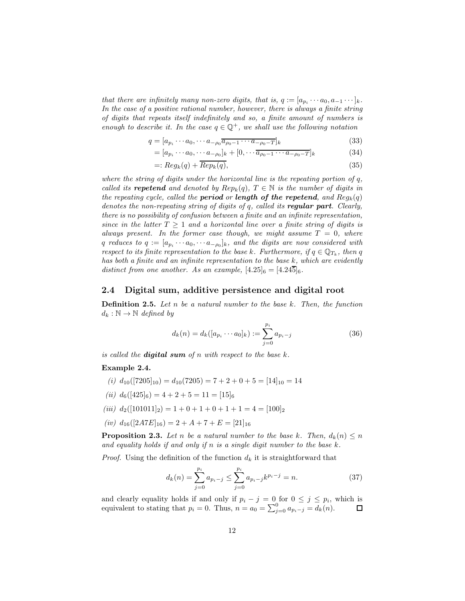that there are infinitely many non-zero digits, that is,  $q := [a_{p_i} \cdots a_0, a_{-1} \cdots]_k$ . In the case of a positive rational number, however, there is always a finite string of digits that repeats itself indefinitely and so, a finite amount of numbers is enough to describe it. In the case  $q \in \mathbb{Q}^+$ , we shall use the following notation

$$
q = [a_{p_i} \cdots a_0, \cdots a_{-\rho_0} \overline{a_{\rho_0 - 1} \cdots a_{-\rho_0 - T}}]_k
$$
\n
$$
(33)
$$

$$
= [a_{p_i} \cdots a_0, \cdots a_{-\rho_0}]_k + [0, \cdots \overline{a_{\rho_0 - 1} \cdots a_{-\rho_0 - T}}]_k
$$
(34)

$$
=: Reg_k(q) + \overline{Rep_k(q)},\tag{35}
$$

where the string of digits under the horizontal line is the repeating portion of  $q$ , called its **repetend** and denoted by  $Rep_k(q)$ ,  $T \in \mathbb{N}$  is the number of digits in the repeating cycle, called the **period** or **length of the repetend**, and  $Reg_k(q)$ denotes the non-repeating string of digits of  $q$ , called its **regular part**. Clearly, there is no possibility of confusion between a finite and an infinite representation, since in the latter  $T \geq 1$  and a horizontal line over a finite string of digits is always present. In the former case though, we might assume  $T = 0$ , where q reduces to  $q := [a_{p_i} \cdots a_0, \cdots a_{-\rho_0}]_k$ , and the digits are now considered with respect to its finite representation to the base k. Furthermore, if  $q \in \mathbb{Q}_{T_k}$ , then q has both a finite and an infinite representation to the base k, which are evidently distinct from one another. As an example,  $[4.25]_6 = [4.24\overline{5}]_6$ .

#### <span id="page-11-0"></span>2.4 Digital sum, additive persistence and digital root

**Definition 2.5.** Let n be a natural number to the base  $k$ . Then, the function  $d_k : \mathbb{N} \to \mathbb{N}$  defined by

$$
d_k(n) = d_k([a_{p_i} \cdots a_0]_k) := \sum_{j=0}^{p_i} a_{p_i - j}
$$
 (36)

is called the **digital sum** of n with respect to the base  $k$ .

#### Example 2.4.

- (i)  $d_{10}([7205]_{10}) = d_{10}(7205) = 7 + 2 + 0 + 5 = [14]_{10} = 14$
- (ii)  $d_6([425]_6) = 4 + 2 + 5 = 11 = [15]_6$
- (iii)  $d_2([101011]_2) = 1 + 0 + 1 + 0 + 1 + 1 = 4 = [100]_2$
- (iv)  $d_{16}([2ATE]_{16}) = 2 + A + 7 + E = [21]_{16}$

**Proposition 2.3.** Let n be a natural number to the base k. Then,  $d_k(n) \leq n$ and equality holds if and only if n is a single digit number to the base  $k$ .

*Proof.* Using the definition of the function  $d_k$  it is straightforward that

$$
d_k(n) = \sum_{j=0}^{p_i} a_{p_i - j} \le \sum_{j=0}^{p_i} a_{p_i - j} k^{p_i - j} = n.
$$
 (37)

and clearly equality holds if and only if  $p_i - j = 0$  for  $0 \le j \le p_i$ , which is equivalent to stating that  $p_i = 0$ . Thus,  $n = a_0 = \sum_{j=0}^{0} a_{p_i - j} = d_k(n)$ .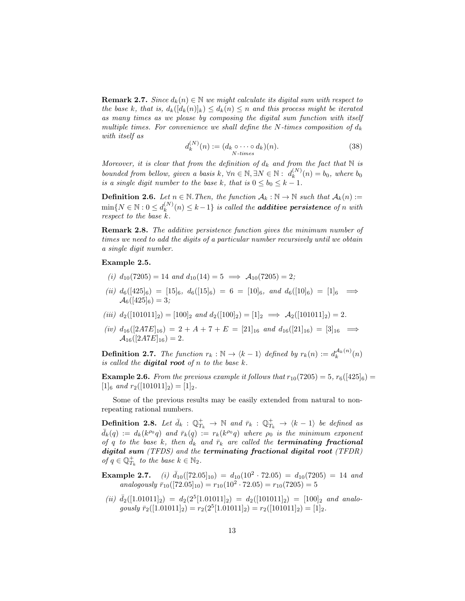**Remark 2.7.** Since  $d_k(n) \in \mathbb{N}$  we might calculate its digital sum with respect to the base k, that is,  $d_k([d_k(n)]_k) \leq d_k(n) \leq n$  and this process might be iterated as many times as we please by composing the digital sum function with itself multiple times. For convenience we shall define the N-times composition of  $d_k$ with itself as

$$
d_k^{(N)}(n) := (d_k \circ \cdots \circ d_k)(n). \tag{38}
$$

Moreover, it is clear that from the definition of  $d_k$  and from the fact that N is bounded from bellow, given a basis k,  $\forall n \in \mathbb{N}, \exists N \in \mathbb{N} : d_k^{(N)}$  $k^{(N)}(n) = b_0$ , where  $b_0$ is a single digit number to the base k, that is  $0 \le b_0 \le k - 1$ .

**Definition 2.6.** Let  $n \in \mathbb{N}$ . Then, the function  $\mathcal{A}_k : \mathbb{N} \to \mathbb{N}$  such that  $\mathcal{A}_k(n) :=$  $\min\{N \in \mathbb{N} : 0 \leq d_k^{(N)}\}$  $\binom{N}{k}(n) \leq k-1$  is called the **additive persistence** of n with respect to the base k.

Remark 2.8. The additive persistence function gives the minimum number of times we need to add the digits of a particular number recursively until we obtain a single digit number.

#### Example 2.5.

- (i)  $d_{10}(7205) = 14$  and  $d_{10}(14) = 5 \implies A_{10}(7205) = 2$ ;
- (ii)  $d_6([425]_6) = [15]_6$ ,  $d_6([15]_6) = 6 = [10]_6$ , and  $d_6([10]_6) = [1]_6 \implies$  $\mathcal{A}_6([425]_6) = 3;$
- (iii)  $d_2([101011]_2) = [100]_2$  and  $d_2([100]_2) = [1]_2 \implies A_2([101011]_2) = 2$ .
- (iv)  $d_{16}([2ATE]_{16}) = 2 + A + 7 + E = [21]_{16}$  and  $d_{16}([21]_{16}) = [3]_{16} \implies$  $\mathcal{A}_{16}([2ATE]_{16}) = 2.$

<span id="page-12-0"></span>**Definition 2.7.** The function  $r_k : \mathbb{N} \to \langle k-1 \rangle$  defined by  $r_k(n) := d_k^{\mathcal{A}_k(n)}(n)$ is called the **digital root** of  $n$  to the base  $k$ .

**Example 2.6.** From the previous example it follows that  $r_{10}(7205) = 5$ ,  $r_6([425]_6) =$  $[1]_6$  and  $r_2([101011]_2) = [1]_2$ .

Some of the previous results may be easily extended from natural to nonrepeating rational numbers.

<span id="page-12-1"></span>**Definition 2.8.** Let  $\bar{d}_k$  :  $\mathbb{Q}_{T_k}^+ \to \mathbb{N}$  and  $\bar{r}_k$  :  $\mathbb{Q}_{T_k}^+ \to \langle k-1 \rangle$  be defined as  $\bar{d}_k(q) := d_k(k^{\rho_0}q)$  and  $\bar{r}_k(q) := r_k(k^{\rho_0}q)$  where  $\rho_0$  is the minimum exponent of q to the base k, then  $\bar{d}_k$  and  $\bar{r}_k$  are called the **terminating fractional** digital sum (TFDS) and the terminating fractional digital root (TFDR) of  $q \in \mathbb{Q}_{T_k}^+$  to the base  $k \in \mathbb{N}_2$ .

**Example 2.7.** (i)  $\bar{d}_{10}([72.05]_{10}) = d_{10}(10^2 \cdot 72.05) = d_{10}(7205) = 14$  and analogously  $\bar{r}_{10}([72.05]_{10}) = r_{10}(10^2 \cdot 72.05) = r_{10}(7205) = 5$ 

(ii)  $\bar{d}_2([1.01011]_2) = d_2(2^5[1.01011]_2) = d_2([101011]_2) = [100]_2$  and analogously  $\bar{r}_2([1.01011]_2) = r_2(2^5[1.01011]_2) = r_2([101011]_2) = [1]_2.$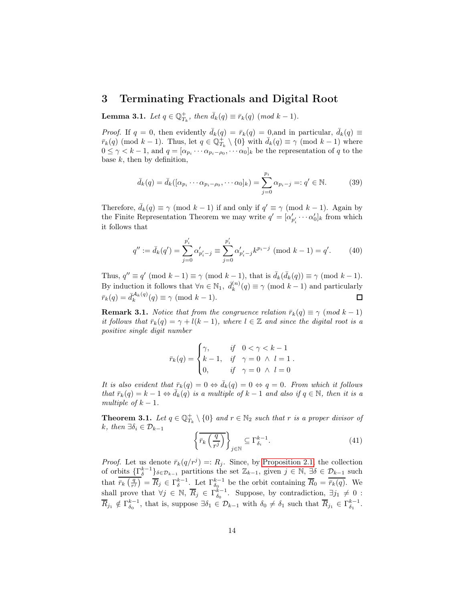### <span id="page-13-0"></span>3 Terminating Fractionals and Digital Root

<span id="page-13-2"></span>**Lemma 3.1.** Let  $q \in \mathbb{Q}_{T_k}^+$ , then  $\bar{d}_k(q) \equiv \bar{r}_k(q) \pmod{k-1}$ .

*Proof.* If  $q = 0$ , then evidently  $\bar{d}_k(q) = \bar{r}_k(q) = 0$ , and in particular,  $\bar{d}_k(q) \equiv$  $\bar{r}_k(q)$  (mod  $k-1$ ). Thus, let  $q \in \mathbb{Q}_{T_k}^+ \setminus \{0\}$  with  $\bar{d}_k(q) \equiv \gamma \pmod{k-1}$  where  $0 \leq \gamma < k-1$ , and  $q = [\alpha_{p_i} \cdots \alpha_{p_i - \rho_0}, \cdots \alpha_0]_k$  be the representation of q to the base  $k$ , then by definition,

$$
\bar{d}_k(q) = \bar{d}_k([\alpha_{p_i} \cdots \alpha_{p_i - \rho_0}, \cdots \alpha_0]_k) = \sum_{j=0}^{p_i} \alpha_{p_i - j} =: q' \in \mathbb{N}.
$$
 (39)

Therefore,  $\bar{d}_k(q) \equiv \gamma \pmod{k-1}$  if and only if  $q' \equiv \gamma \pmod{k-1}$ . Again by the Finite Representation Theorem we may write  $q' = [\alpha'_{p'_i} \cdots \alpha'_{0}]_k$  from which it follows that

$$
q'' := \bar{d}_k(q') = \sum_{j=0}^{p'_i} \alpha'_{p'_i - j} \equiv \sum_{j=0}^{p'_i} \alpha'_{p'_i - j} k^{p_i - j} \pmod{k - 1} = q'. \tag{40}
$$

Thus,  $q'' \equiv q' \pmod{k-1} \equiv \gamma \pmod{k-1}$ , that is  $\bar{d}_k(\bar{d}_k(q)) \equiv \gamma \pmod{k-1}$ . By induction it follows that  $\forall n \in \mathbb{N}_1$ ,  $\bar{d}_k^{(n)}$  $\binom{n}{k}(q) \equiv \gamma \pmod{k-1}$  and particularly  $\bar{r}_k(q) = \bar{d}_k^{\mathcal{A}_k(q)}(q) \equiv \gamma \pmod{k-1}.$  $\Box$ 

**Remark 3.1.** Notice that from the congruence relation  $\bar{r}_k(q) \equiv \gamma \pmod{k-1}$ it follows that  $\bar{r}_k(q) = \gamma + l(k-1)$ , where  $l \in \mathbb{Z}$  and since the digital root is a positive single digit number

$$
\bar{r}_k(q) = \begin{cases} \gamma, & \text{if} \quad 0 < \gamma < k - 1 \\ k - 1, & \text{if} \quad \gamma = 0 \quad \land \quad l = 1 \\ 0, & \text{if} \quad \gamma = 0 \quad \land \quad l = 0 \end{cases}
$$

It is also evident that  $\bar{r}_k(q) = 0 \Leftrightarrow \bar{d}_k(q) = 0 \Leftrightarrow q = 0$ . From which it follows that  $\bar{r}_k(q) = k - 1 \Leftrightarrow \bar{d}_k(q)$  is a multiple of  $k - 1$  and also if  $q \in \mathbb{N}$ , then it is a multiple of  $k-1$ .

<span id="page-13-1"></span>**Theorem 3.1.** Let  $q \in \mathbb{Q}_{T_k}^+ \setminus \{0\}$  and  $r \in \mathbb{N}_2$  such that r is a proper divisor of k, then  $\exists \delta_i \in \mathcal{D}_{k-1}$ 

$$
\left\{ \overline{r}_{k} \left( \frac{q}{r^{j}} \right) \right\}_{j \in \mathbb{N}} \subseteq \Gamma_{\delta_{i}}^{k-1}.
$$
\n(41)

*Proof.* Let us denote  $\bar{r}_k(q/r^j) =: R_j$ . Since, by [Proposition 2.1,](#page-5-1) the collection of orbits  $\{\Gamma_{\delta}^{k-1}\}_{{\delta \in \mathcal{D}_{k-1}}}$  partitions the set  $\mathbb{Z}_{k-1}$ , given  $j \in \mathbb{N}$ ,  $\exists \delta \in \mathcal{D}_{k-1}$  such that  $\overline{r_k\left(\frac{q}{r^j}\right)} = \overline{R}_j \in \Gamma_{\delta}^{k-1}$ . Let  $\Gamma_{\delta_0}^{k-1}$  be the orbit containing  $\overline{R}_0 = \overline{r_k(q)}$ . We shall prove that  $\forall j \in \mathbb{N}, \overline{R}_j \in \Gamma_{\delta_0}^{k-1}$ . Suppose, by contradiction,  $\exists j_1 \neq 0$ :  $\overline{R}_{j_1} \notin \Gamma_{\delta_0}^{k-1}$ , that is, suppose  $\exists \delta_1 \in \mathcal{D}_{k-1}$  with  $\delta_0 \neq \delta_1$  such that  $\overline{R}_{j_1} \in \Gamma_{\delta_1}^{k-1}$ .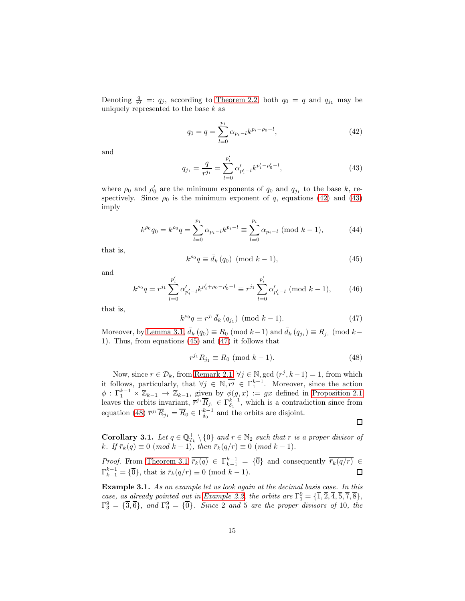Denoting  $\frac{q}{r^j}$  =:  $q_j$ , according to [Theorem 2.2,](#page-7-3) both  $q_0 = q$  and  $q_{j_1}$  may be uniquely represented to the base  $k$  as

<span id="page-14-0"></span>
$$
q_0 = q = \sum_{l=0}^{p_i} \alpha_{p_i-l} k^{p_i - \rho_0 - l},
$$
\n(42)

and

<span id="page-14-1"></span>
$$
q_{j_1} = \frac{q}{r^{j_1}} = \sum_{l=0}^{p'_i} \alpha'_{p'_i - l} k^{p'_i - \rho'_0 - l},
$$
\n(43)

where  $\rho_0$  and  $\rho'_0$  are the minimum exponents of  $q_0$  and  $q_{j_1}$  to the base k, respectively. Since  $\rho_0$  is the minimum exponent of q, equations [\(42\)](#page-14-0) and [\(43\)](#page-14-1) imply

$$
k^{\rho_0} q_0 = k^{\rho_0} q = \sum_{l=0}^{p_i} \alpha_{p_i-l} k^{p_i-l} \equiv \sum_{l=0}^{p_i} \alpha_{p_i-l} \; (\text{mod } k-1),\tag{44}
$$

that is,

<span id="page-14-2"></span>
$$
k^{\rho_0}q \equiv \bar{d}_k(q_0) \pmod{k-1},\tag{45}
$$

and

$$
k^{\rho_0}q = r^{j_1} \sum_{l=0}^{p'_i} \alpha'_{p'_i-l} k^{p'_i + \rho_0 - \rho'_0 - l} \equiv r^{j_1} \sum_{l=0}^{p'_i} \alpha'_{p'_i-l} \; (\text{mod } k-1),\qquad (46)
$$

that is,

<span id="page-14-3"></span>
$$
k^{\rho_0}q \equiv r^{j_1}\bar{d}_k (q_{j_1}) \pmod{k-1}.
$$
 (47)

Moreover, by [Lemma 3.1,](#page-13-2)  $\bar{d}_k(q_0) \equiv R_0 \pmod{k-1}$  and  $\bar{d}_k(q_{j_1}) \equiv R_{j_1} \pmod{k-1}$ 1). Thus, from equations [\(45\)](#page-14-2) and [\(47\)](#page-14-3) it follows that

<span id="page-14-4"></span>
$$
r^{j_1} R_{j_1} \equiv R_0 \pmod{k-1}.
$$
 (48)

Now, since  $r \in \mathcal{D}_k$ , from [Remark 2.1,](#page-3-1)  $\forall j \in \mathbb{N}$ , gcd  $(r^j, k-1) = 1$ , from which it follows, particularly, that  $\forall j \in \mathbb{N}, \overline{r^j} \in \Gamma_1^{k-1}$ . Moreover, since the action  $\phi: \Gamma_1^{k-1} \times \mathbb{Z}_{k-1} \to \mathbb{Z}_{k-1}$ , given by  $\phi(g, x) := gx$  defined in [Proposition 2.1](#page-5-1) leaves the orbits invariant,  $\overline{r}^{j_1} \overline{R}_{j_1} \in \Gamma_{\delta_1}^{k-1}$ , which is a contradiction since from equation [\(48\)](#page-14-4)  $\overline{r}^{j_1} \overline{R}_{j_1} = \overline{R}_0 \in \Gamma_{\delta_0}^{k-1}$  and the orbits are disjoint.

 $\Box$ 

<span id="page-14-5"></span>**Corollary 3.1.** Let  $q \in \mathbb{Q}_{T_k}^+ \setminus \{0\}$  and  $r \in \mathbb{N}_2$  such that r is a proper divisor of k. If  $\bar{r}_k(q) \equiv 0 \pmod{k-1}$ , then  $\bar{r}_k(q/r) \equiv 0 \pmod{k-1}$ .

*Proof.* From [Theorem 3.1](#page-13-1)  $\overline{r}_k(q) \in \Gamma_{k-1}^{k-1} = {\overline{0}}$  and consequently  $\overline{r}_k(q/r) \in$  $\Gamma_{k-1}^{k-1} = {\overline{0}}$ , that is  $\bar{r}_k(q/r) \equiv 0 \pmod{k-1}$ .  $\Box$ 

Example 3.1. As an example let us look again at the decimal basis case. In this case, as already pointed out in [Example 2.2,](#page-6-3) the orbits are  $\Gamma_1^9 = {\{\overline{1}, \overline{2}, \overline{4}, \overline{5}, \overline{7}, \overline{8}\}},$  $\Gamma_3^9 = \{ \overline{3}, \overline{6} \}$ , and  $\Gamma_9^9 = \{ \overline{0} \}$ . Since 2 and 5 are the proper divisors of 10, the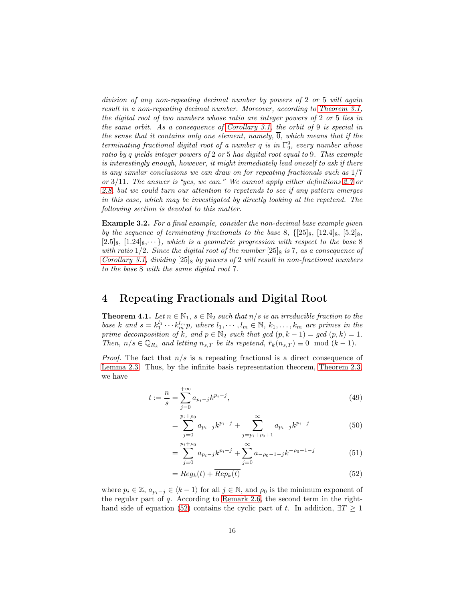division of any non-repeating decimal number by powers of 2 or 5 will again result in a non-repeating decimal number. Moreover, according to [Theorem 3.1,](#page-13-1) the digital root of two numbers whose ratio are integer powers of 2 or 5 lies in the same orbit. As a consequence of [Corollary 3.1,](#page-14-5) the orbit of 9 is special in the sense that it contains only one element, namely,  $\overline{0}$ , which means that if the terminating fractional digital root of a number q is in  $\Gamma_9^9$ , every number whose ratio by q yields integer powers of 2 or 5 has digital root equal to 9. This example is interestingly enough, however, it might immediately lead oneself to ask if there is any similar conclusions we can draw on for repeating fractionals such as 1/7 or 3/11. The answer is "yes, we can." We cannot apply either definitions [2.7](#page-12-0) or [2.8,](#page-12-1) but we could turn our attention to repetends to see if any pattern emerges in this case, which may be investigated by directly looking at the repetend. The following section is devoted to this matter.

Example 3.2. For a final example, consider the non-decimal base example given by the sequence of terminating fractionals to the base 8,  $\{25\}_{8}$ ,  $[12.4]_{8}$ ,  $[5.2]_{8}$ ,  $[2.5]_8$ ,  $[1.24]_8$ ,  $\cdots$ , which is a geometric progression with respect to the base 8 with ratio 1/2. Since the digital root of the number  $[25]_8$  is 7, as a consequence of [Corollary 3.1,](#page-14-5) dividing  $[25]_8$  by powers of 2 will result in non-fractional numbers to the base 8 with the same digital root 7.

### <span id="page-15-0"></span>4 Repeating Fractionals and Digital Root

<span id="page-15-1"></span>**Theorem 4.1.** Let  $n \in \mathbb{N}_1$ ,  $s \in \mathbb{N}_2$  such that  $n/s$  is an irreducible fraction to the base k and  $s = k_1^{l_1} \cdots k_m^{l_m} p$ , where  $l_1, \cdots, l_m \in \mathbb{N}$ ,  $k_1, \ldots, k_m$  are primes in the prime decomposition of k, and  $p \in \mathbb{N}_2$  such that gcd  $(p, k - 1) = gcd(p, k) = 1$ . Then,  $n/s \in \mathbb{Q}_{R_k}$  and letting  $n_{s,T}$  be its repetend,  $\bar{r}_k(n_{s,T}) \equiv 0 \mod (k-1)$ .

*Proof.* The fact that  $n/s$  is a repeating fractional is a direct consequence of [Lemma 2.3.](#page-3-2) Thus, by the infinite basis representation theorem, [Theorem 2.3,](#page-8-3) we have

$$
t := \frac{n}{s} = \sum_{j=0}^{+\infty} a_{p_i - j} k^{p_i - j},\tag{49}
$$

<span id="page-15-3"></span>
$$
= \sum_{j=0}^{p_i + \rho_0} a_{p_i - j} k^{p_i - j} + \sum_{j=p_i + \rho_0 + 1}^{\infty} a_{p_i - j} k^{p_i - j}
$$
(50)

$$
= \sum_{j=0}^{p_i + \rho_0} a_{p_i - j} k^{p_i - j} + \sum_{j=0}^{\infty} a_{-\rho_0 - 1 - j} k^{-\rho_0 - 1 - j}
$$
(51)

<span id="page-15-2"></span>
$$
= Reg_k(t) + \overline{Rep_k(t)}
$$
\n(52)

where  $p_i \in \mathbb{Z}, a_{p_i-j} \in \langle k-1 \rangle$  for all  $j \in \mathbb{N}$ , and  $\rho_0$  is the minimum exponent of the regular part of  $q$ . According to [Remark 2.6,](#page-10-3) the second term in the right-hand side of equation [\(52\)](#page-15-2) contains the cyclic part of t. In addition,  $\exists T \geq 1$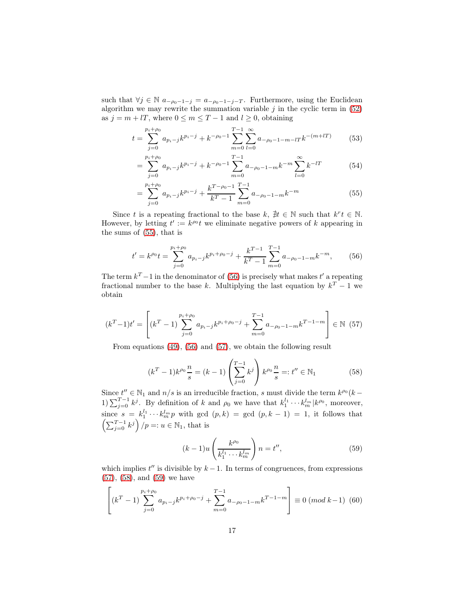such that  $\forall j \in \mathbb{N}$   $a_{-\rho_0-1-j} = a_{-\rho_0-1-j-T}$ . Furthermore, using the Euclidean algorithm we may rewrite the summation variable  $j$  in the cyclic term in  $(52)$ as  $j = m + lT$ , where  $0 \le m \le T - 1$  and  $l \ge 0$ , obtaining

$$
t = \sum_{j=0}^{p_i + \rho_0} a_{p_i - j} k^{p_i - j} + k^{-\rho_0 - 1} \sum_{m=0}^{T-1} \sum_{l=0}^{\infty} a_{-\rho_0 - 1 - m - l} k^{-(m + l)} \tag{53}
$$

$$
= \sum_{j=0}^{p_i+\rho_0} a_{p_i-j} k^{p_i-j} + k^{-\rho_0-1} \sum_{m=0}^{T-1} a_{-\rho_0-1-m} k^{-m} \sum_{l=0}^{\infty} k^{-l} \tag{54}
$$

<span id="page-16-0"></span>
$$
= \sum_{j=0}^{p_i+\rho_0} a_{p_i-j} k^{p_i-j} + \frac{k^{T-\rho_0-1}}{k^T-1} \sum_{m=0}^{T-1} a_{-\rho_0-1-m} k^{-m}
$$
(55)

Since t is a repeating fractional to the base  $k, \, \nexists t \in \mathbb{N}$  such that  $k^r t \in \mathbb{N}$ . However, by letting  $t' := k^{\rho_0} t$  we eliminate negative powers of k appearing in the sums of [\(55\)](#page-16-0), that is

<span id="page-16-1"></span>
$$
t' = k^{\rho_0} t = \sum_{j=0}^{p_i + \rho_0} a_{p_i - j} k^{p_i + \rho_0 - j} + \frac{k^{T-1}}{k^T - 1} \sum_{m=0}^{T-1} a_{-\rho_0 - 1 - m} k^{-m},
$$
 (56)

The term  $k^T - 1$  in the denominator of [\(56\)](#page-16-1) is precisely what makes t' a repeating fractional number to the base k. Multiplying the last equation by  $k^T - 1$  we obtain

<span id="page-16-2"></span>
$$
(k^T - 1)t' = \left[ (k^T - 1) \sum_{j=0}^{p_i + \rho_0} a_{p_i - j} k^{p_i + \rho_0 - j} + \sum_{m=0}^{T-1} a_{-\rho_0 - 1 - m} k^{T-1 - m} \right] \in \mathbb{N} \tag{57}
$$

From equations [\(49\)](#page-15-3), [\(56\)](#page-16-1) and [\(57\)](#page-16-2), we obtain the following result

<span id="page-16-3"></span>
$$
(kT - 1)k\rho_0 \frac{n}{s} = (k - 1) \left(\sum_{j=0}^{T-1} k^j\right) k^{\rho_0} \frac{n}{s} =: t'' \in \mathbb{N}_1
$$
 (58)

Since  $t'' \in \mathbb{N}_1$  and  $n/s$  is an irreducible fraction, s must divide the term  $k^{\rho_0}(k -$ 1)  $\sum_{j=0}^{T-1} k^j$ . By definition of k and  $\rho_0$  we have that  $k_1^{l_1} \cdots k_m^{l_m} | k^{\rho_0}$ , moreover, since  $s = k_1^{l_1} \cdots k_m^{l_m} p$  with gcd  $(p, k) =$  gcd  $(p, k - 1) = 1$ , it follows that  $\left(\sum_{j=0}^{T-1} k^j\right)/p =: u \in \mathbb{N}_1$ , that is

<span id="page-16-4"></span>
$$
(k-1)u\left(\frac{k^{\rho_0}}{k_1^{l_1}\cdots k_m^{l_m}}\right)n = t'',\tag{59}
$$

which implies  $t''$  is divisible by  $k - 1$ . In terms of congruences, from expressions [\(57\)](#page-16-2), [\(58\)](#page-16-3), and [\(59\)](#page-16-4) we have

$$
\left[ \left( k^{T} - 1 \right) \sum_{j=0}^{p_{i} + \rho_{0}} a_{p_{i} - j} k^{p_{i} + \rho_{0} - j} + \sum_{m=0}^{T-1} a_{-\rho_{0} - 1 - m} k^{T-1-m} \right] \equiv 0 \ (mod \ k-1) \ (60)
$$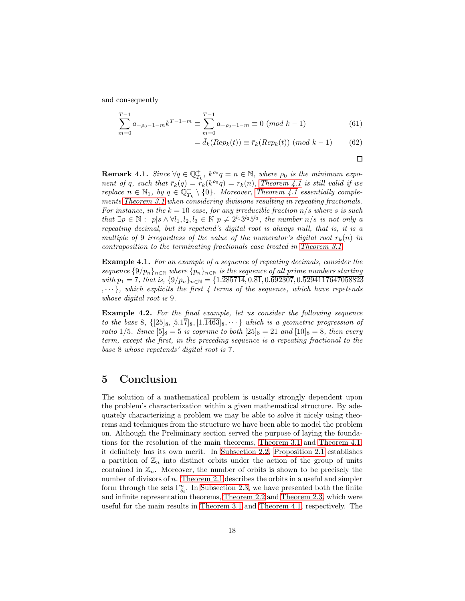and consequently

$$
\sum_{m=0}^{T-1} a_{-\rho_0 - 1 - m} k^{T-1 - m} \equiv \sum_{m=0}^{T-1} a_{-\rho_0 - 1 - m} \equiv 0 \pmod{k-1}
$$
 (61)

$$
= \bar{d}_k(\text{Rep}_k(t)) \equiv \bar{r}_k(\text{Rep}_k(t)) \text{ (mod } k-1) \tag{62}
$$

$$
\Box
$$

**Remark 4.1.** Since  $\forall q \in \mathbb{Q}_{T_k}^+, k^{\rho_0}q = n \in \mathbb{N},$  where  $\rho_0$  is the minimum exponent of q, such that  $\bar{r}_k(q) = \tilde{r}_k(k^{\rho_0}q) = r_k(n)$ , [Theorem 4.1](#page-15-1) is still valid if we replace  $n \in \mathbb{N}_1$ , by  $q \in \mathbb{Q}_{T_k}^+ \setminus \{0\}$ . Moreover, [Theorem 4.1](#page-15-1) essentially comple-ments [Theorem 3.1](#page-13-1) when considering divisions resulting in repeating fractionals. For instance, in the  $k = 10$  case, for any irreducible fraction  $n/s$  where s is such that  $\exists p \in \mathbb{N} : p | s \wedge \forall l_1, l_2, l_3 \in \mathbb{N} \ p \neq 2^{l_1} 3^{l_2} 5^{l_3}$ , the number  $n/s$  is not only a repeating decimal, but its repetend's digital root is always null, that is, it is a multiple of 9 irregardless of the value of the numerator's digital root  $r_k(n)$  in contraposition to the terminating fractionals case treated in [Theorem 3.1.](#page-13-1)

Example 4.1. For an example of a sequence of repeating decimals, consider the sequence  $\{9/p_n\}_{n\in\mathbb{N}}$  where  $\{p_n\}_{n\in\mathbb{N}}$  is the sequence of all prime numbers starting with  $p_1 = 7$ , that is,  $\{9/p_n\}_{n \in \mathbb{N}} = \{1.\overline{285714}, 0.\overline{81}, 0.\overline{692307}, 0.\overline{5294117647058823}\}$  $,\dots$ }, which explicits the first 4 terms of the sequence, which have repetends whose digital root is 9.

Example 4.2. For the final example, let us consider the following sequence to the base 8,  $\{ [25]_8, [5.17]_8, [1.1463]_8, \cdots \}$  which is a geometric progression of ratio 1/5. Since  $[5]_8 = 5$  is coprime to both  $[25]_8 = 21$  and  $[10]_8 = 8$ , then every term, except the first, in the preceding sequence is a repeating fractional to the base 8 whose repetends' digital root is 7.

# <span id="page-17-0"></span>5 Conclusion

The solution of a mathematical problem is usually strongly dependent upon the problem's characterization within a given mathematical structure. By adequately characterizing a problem we may be able to solve it nicely using theorems and techniques from the structure we have been able to model the problem on. Although the Preliminary section served the purpose of laying the foundations for the resolution of the main theorems, [Theorem 3.1](#page-13-1) and [Theorem 4.1,](#page-15-1) it definitely has its own merit. In [Subsection 2.2,](#page-4-0) [Proposition 2.1](#page-5-1) establishes a partition of  $\mathbb{Z}_n$  into distinct orbits under the action of the group of units contained in  $\mathbb{Z}_n$ . Moreover, the number of orbits is shown to be precisely the number of divisors of  $n$ . [Theorem 2.1](#page-6-2) describes the orbits in a useful and simpler form through the sets  $\Gamma_{\delta_i}^n$ . In [Subsection 2.3,](#page-7-0) we have presented both the finite and infinite representation theorems, [Theorem 2.2](#page-7-3) and [Theorem 2.3,](#page-8-3) which were useful for the main results in [Theorem 3.1](#page-13-1) and [Theorem 4.1,](#page-15-1) respectively. The